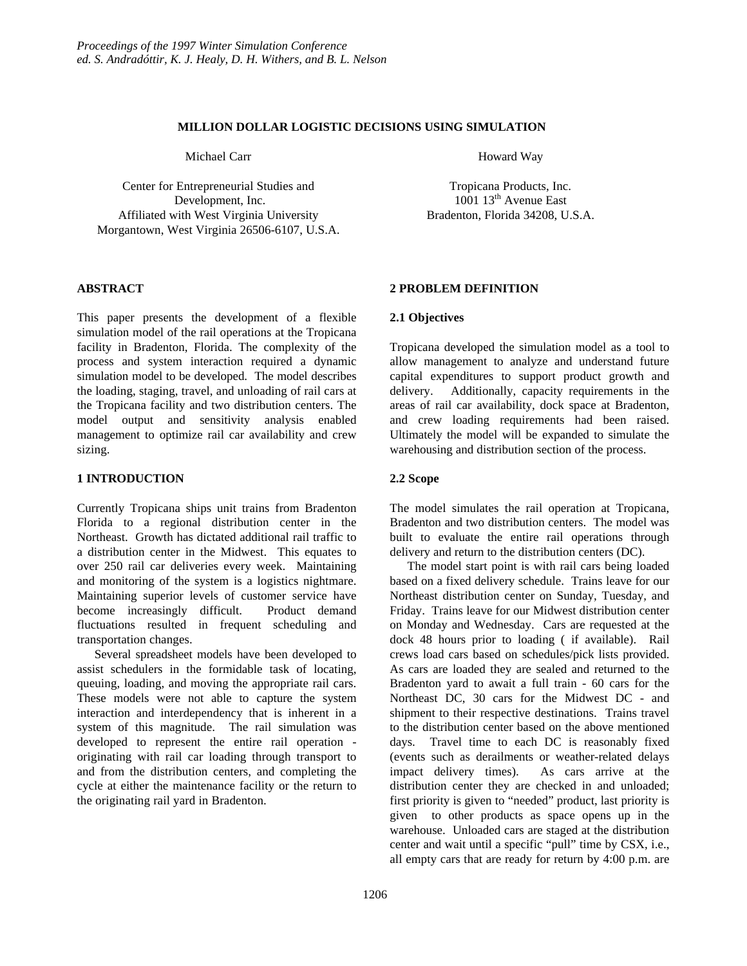## **MILLION DOLLAR LOGISTIC DECISIONS USING SIMULATION**

Michael Carr

Center for Entrepreneurial Studies and Development, Inc. Affiliated with West Virginia University Morgantown, West Virginia 26506-6107, U.S.A.

## **ABSTRACT**

This paper presents the development of a flexible simulation model of the rail operations at the Tropicana facility in Bradenton, Florida. The complexity of the process and system interaction required a dynamic simulation model to be developed. The model describes the loading, staging, travel, and unloading of rail cars at the Tropicana facility and two distribution centers. The model output and sensitivity analysis enabled management to optimize rail car availability and crew sizing.

## **1 INTRODUCTION**

Currently Tropicana ships unit trains from Bradenton Florida to a regional distribution center in the Northeast. Growth has dictated additional rail traffic to a distribution center in the Midwest. This equates to over 250 rail car deliveries every week. Maintaining and monitoring of the system is a logistics nightmare. Maintaining superior levels of customer service have become increasingly difficult. Product demand fluctuations resulted in frequent scheduling and transportation changes.

Several spreadsheet models have been developed to assist schedulers in the formidable task of locating, queuing, loading, and moving the appropriate rail cars. These models were not able to capture the system interaction and interdependency that is inherent in a system of this magnitude. The rail simulation was developed to represent the entire rail operation originating with rail car loading through transport to and from the distribution centers, and completing the cycle at either the maintenance facility or the return to the originating rail yard in Bradenton.

Howard Way

Tropicana Products, Inc. 1001 13th Avenue East Bradenton, Florida 34208, U.S.A.

## **2 PROBLEM DEFINITION**

### **2.1 Objectives**

Tropicana developed the simulation model as a tool to allow management to analyze and understand future capital expenditures to support product growth and delivery. Additionally, capacity requirements in the areas of rail car availability, dock space at Bradenton, and crew loading requirements had been raised. Ultimately the model will be expanded to simulate the warehousing and distribution section of the process.

## **2.2 Scope**

The model simulates the rail operation at Tropicana, Bradenton and two distribution centers. The model was built to evaluate the entire rail operations through delivery and return to the distribution centers (DC).

The model start point is with rail cars being loaded based on a fixed delivery schedule. Trains leave for our Northeast distribution center on Sunday, Tuesday, and Friday. Trains leave for our Midwest distribution center on Monday and Wednesday. Cars are requested at the dock 48 hours prior to loading ( if available). Rail crews load cars based on schedules/pick lists provided. As cars are loaded they are sealed and returned to the Bradenton yard to await a full train - 60 cars for the Northeast DC, 30 cars for the Midwest DC - and shipment to their respective destinations. Trains travel to the distribution center based on the above mentioned days. Travel time to each DC is reasonably fixed (events such as derailments or weather-related delays impact delivery times). As cars arrive at the distribution center they are checked in and unloaded; first priority is given to "needed" product, last priority is given to other products as space opens up in the warehouse. Unloaded cars are staged at the distribution center and wait until a specific "pull" time by CSX, i.e., all empty cars that are ready for return by 4:00 p.m. are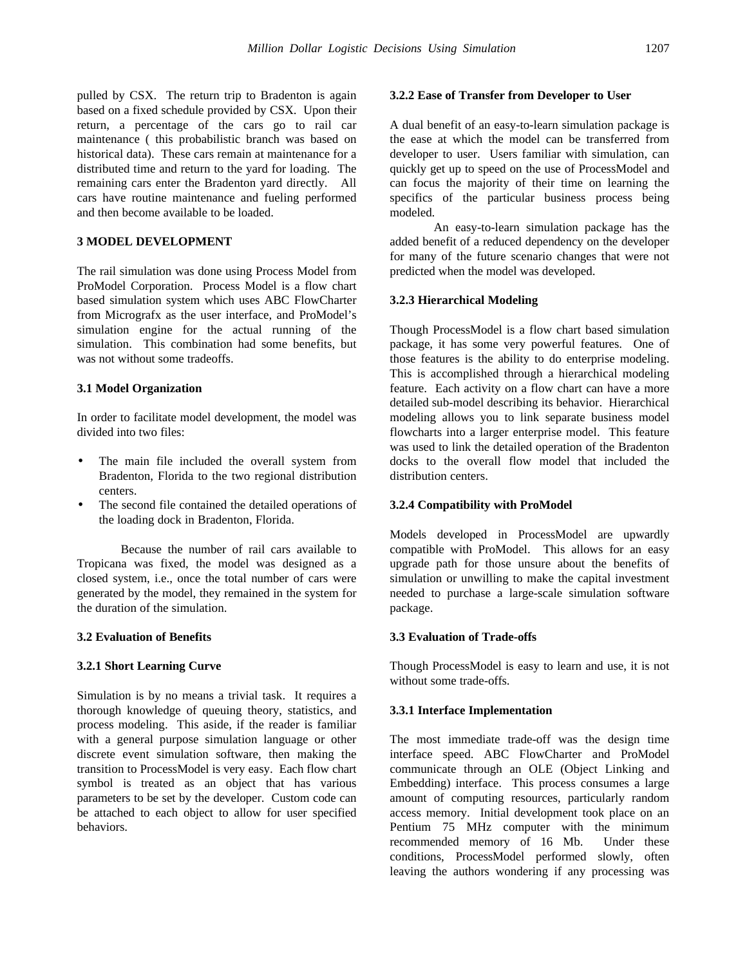pulled by CSX. The return trip to Bradenton is again based on a fixed schedule provided by CSX. Upon their return, a percentage of the cars go to rail car maintenance ( this probabilistic branch was based on historical data). These cars remain at maintenance for a distributed time and return to the yard for loading. The remaining cars enter the Bradenton yard directly. All cars have routine maintenance and fueling performed and then become available to be loaded.

## **3 MODEL DEVELOPMENT**

The rail simulation was done using Process Model from ProModel Corporation. Process Model is a flow chart based simulation system which uses ABC FlowCharter from Micrografx as the user interface, and ProModel's simulation engine for the actual running of the simulation. This combination had some benefits, but was not without some tradeoffs.

#### **3.1 Model Organization**

In order to facilitate model development, the model was divided into two files:

- The main file included the overall system from Bradenton, Florida to the two regional distribution centers.
- The second file contained the detailed operations of the loading dock in Bradenton, Florida.

Because the number of rail cars available to Tropicana was fixed, the model was designed as a closed system, i.e., once the total number of cars were generated by the model, they remained in the system for the duration of the simulation.

### **3.2 Evaluation of Benefits**

#### **3.2.1 Short Learning Curve**

Simulation is by no means a trivial task. It requires a thorough knowledge of queuing theory, statistics, and process modeling. This aside, if the reader is familiar with a general purpose simulation language or other discrete event simulation software, then making the transition to ProcessModel is very easy. Each flow chart symbol is treated as an object that has various parameters to be set by the developer. Custom code can be attached to each object to allow for user specified behaviors.

#### **3.2.2 Ease of Transfer from Developer to User**

A dual benefit of an easy-to-learn simulation package is the ease at which the model can be transferred from developer to user. Users familiar with simulation, can quickly get up to speed on the use of ProcessModel and can focus the majority of their time on learning the specifics of the particular business process being modeled.

An easy-to-learn simulation package has the added benefit of a reduced dependency on the developer for many of the future scenario changes that were not predicted when the model was developed.

### **3.2.3 Hierarchical Modeling**

Though ProcessModel is a flow chart based simulation package, it has some very powerful features. One of those features is the ability to do enterprise modeling. This is accomplished through a hierarchical modeling feature. Each activity on a flow chart can have a more detailed sub-model describing its behavior. Hierarchical modeling allows you to link separate business model flowcharts into a larger enterprise model. This feature was used to link the detailed operation of the Bradenton docks to the overall flow model that included the distribution centers.

#### **3.2.4 Compatibility with ProModel**

Models developed in ProcessModel are upwardly compatible with ProModel. This allows for an easy upgrade path for those unsure about the benefits of simulation or unwilling to make the capital investment needed to purchase a large-scale simulation software package.

#### **3.3 Evaluation of Trade-offs**

Though ProcessModel is easy to learn and use, it is not without some trade-offs.

#### **3.3.1 Interface Implementation**

The most immediate trade-off was the design time interface speed. ABC FlowCharter and ProModel communicate through an OLE (Object Linking and Embedding) interface. This process consumes a large amount of computing resources, particularly random access memory. Initial development took place on an Pentium 75 MHz computer with the minimum recommended memory of 16 Mb. Under these conditions, ProcessModel performed slowly, often leaving the authors wondering if any processing was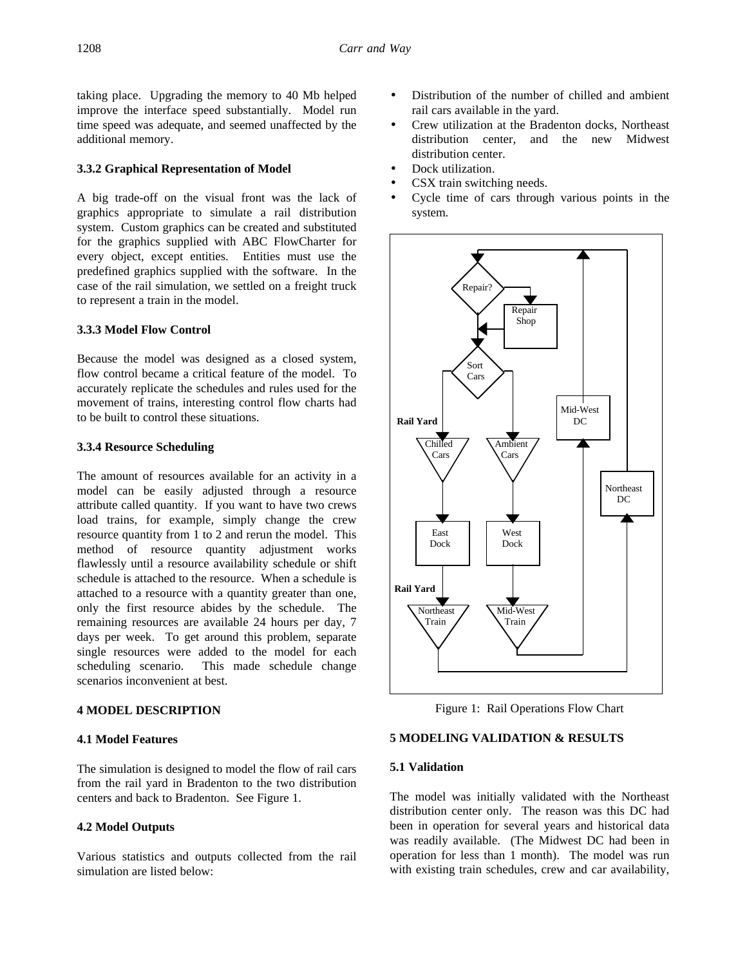taking place. Upgrading the memory to 40 Mb helped improve the interface speed substantially. Model run time speed was adequate, and seemed unaffected by the additional memory.

### **3.3.2 Graphical Representation of Model**

A big trade-off on the visual front was the lack of graphics appropriate to simulate a rail distribution system. Custom graphics can be created and substituted for the graphics supplied with ABC FlowCharter for every object, except entities. Entities must use the predefined graphics supplied with the software. In the case of the rail simulation, we settled on a freight truck to represent a train in the model.

## **3.3.3 Model Flow Control**

Because the model was designed as a closed system, flow control became a critical feature of the model. To accurately replicate the schedules and rules used for the movement of trains, interesting control flow charts had to be built to control these situations.

#### **3.3.4 Resource Scheduling**

The amount of resources available for an activity in a model can be easily adjusted through a resource attribute called quantity. If you want to have two crews load trains, for example, simply change the crew resource quantity from 1 to 2 and rerun the model. This method of resource quantity adjustment works flawlessly until a resource availability schedule or shift schedule is attached to the resource. When a schedule is attached to a resource with a quantity greater than one, only the first resource abides by the schedule. The remaining resources are available 24 hours per day, 7 days per week. To get around this problem, separate single resources were added to the model for each scheduling scenario. This made schedule change scenarios inconvenient at best.

### **4 MODEL DESCRIPTION**

## **4.1 Model Features**

The simulation is designed to model the flow of rail cars from the rail yard in Bradenton to the two distribution centers and back to Bradenton. See Figure 1.

#### **4.2 Model Outputs**

Various statistics and outputs collected from the rail simulation are listed below:

- Distribution of the number of chilled and ambient rail cars available in the yard.
- Crew utilization at the Bradenton docks, Northeast distribution center, and the new Midwest distribution center.
- Dock utilization.
- CSX train switching needs.
- Cycle time of cars through various points in the system.



Figure 1: Rail Operations Flow Chart

## **5 MODELING VALIDATION & RESULTS**

## **5.1 Validation**

The model was initially validated with the Northeast distribution center only. The reason was this DC had been in operation for several years and historical data was readily available. (The Midwest DC had been in operation for less than 1 month). The model was run with existing train schedules, crew and car availability,